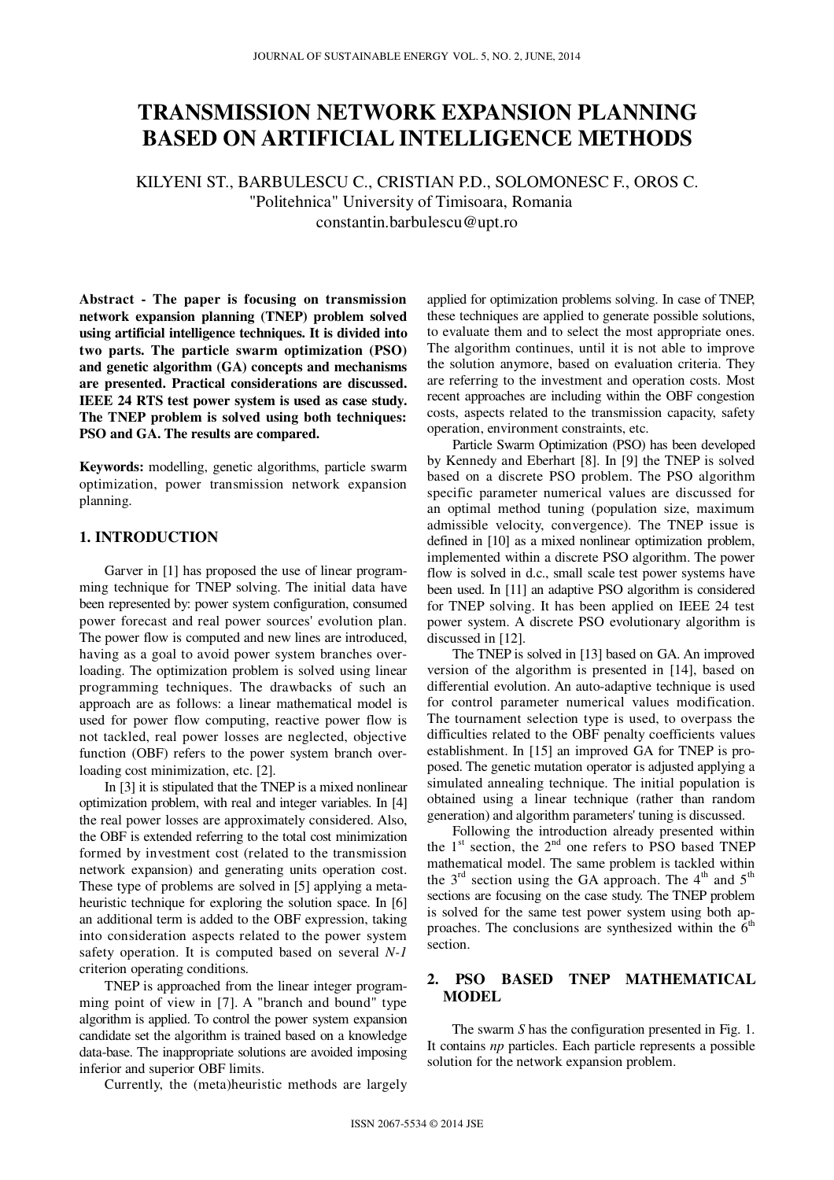# **TRANSMISSION NETWORK EXPANSION PLANNING BASED ON ARTIFICIAL INTELLIGENCE METHODS**

KILYENI ST., BARBULESCU C., CRISTIAN P.D., SOLOMONESC F., OROS C. "Politehnica" University of Timisoara, Romania constantin.barbulescu@upt.ro

**Abstract - The paper is focusing on transmission network expansion planning (TNEP) problem solved using artificial intelligence techniques. It is divided into two parts. The particle swarm optimization (PSO) and genetic algorithm (GA) concepts and mechanisms are presented. Practical considerations are discussed. IEEE 24 RTS test power system is used as case study. The TNEP problem is solved using both techniques: PSO and GA. The results are compared.** 

**Keywords:** modelling, genetic algorithms, particle swarm optimization, power transmission network expansion planning.

# **1. INTRODUCTION**

Garver in [1] has proposed the use of linear programming technique for TNEP solving. The initial data have been represented by: power system configuration, consumed power forecast and real power sources' evolution plan. The power flow is computed and new lines are introduced, having as a goal to avoid power system branches overloading. The optimization problem is solved using linear programming techniques. The drawbacks of such an approach are as follows: a linear mathematical model is used for power flow computing, reactive power flow is not tackled, real power losses are neglected, objective function (OBF) refers to the power system branch overloading cost minimization, etc. [2].

In [3] it is stipulated that the TNEP is a mixed nonlinear optimization problem, with real and integer variables. In [4] the real power losses are approximately considered. Also, the OBF is extended referring to the total cost minimization formed by investment cost (related to the transmission network expansion) and generating units operation cost. These type of problems are solved in [5] applying a metaheuristic technique for exploring the solution space. In [6] an additional term is added to the OBF expression, taking into consideration aspects related to the power system safety operation. It is computed based on several *N-1* criterion operating conditions.

TNEP is approached from the linear integer programming point of view in [7]. A "branch and bound" type algorithm is applied. To control the power system expansion candidate set the algorithm is trained based on a knowledge data-base. The inappropriate solutions are avoided imposing inferior and superior OBF limits.

Currently, the (meta)heuristic methods are largely

applied for optimization problems solving. In case of TNEP, these techniques are applied to generate possible solutions, to evaluate them and to select the most appropriate ones. The algorithm continues, until it is not able to improve the solution anymore, based on evaluation criteria. They are referring to the investment and operation costs. Most recent approaches are including within the OBF congestion costs, aspects related to the transmission capacity, safety operation, environment constraints, etc.

Particle Swarm Optimization (PSO) has been developed by Kennedy and Eberhart [8]. In [9] the TNEP is solved based on a discrete PSO problem. The PSO algorithm specific parameter numerical values are discussed for an optimal method tuning (population size, maximum admissible velocity, convergence). The TNEP issue is defined in [10] as a mixed nonlinear optimization problem, implemented within a discrete PSO algorithm. The power flow is solved in d.c., small scale test power systems have been used. In [11] an adaptive PSO algorithm is considered for TNEP solving. It has been applied on IEEE 24 test power system. A discrete PSO evolutionary algorithm is discussed in [12].

The TNEP is solved in [13] based on GA. An improved version of the algorithm is presented in [14], based on differential evolution. An auto-adaptive technique is used for control parameter numerical values modification. The tournament selection type is used, to overpass the difficulties related to the OBF penalty coefficients values establishment. In [15] an improved GA for TNEP is proposed. The genetic mutation operator is adjusted applying a simulated annealing technique. The initial population is obtained using a linear technique (rather than random generation) and algorithm parameters' tuning is discussed.

Following the introduction already presented within the  $1<sup>st</sup>$  section, the  $2<sup>nd</sup>$  one refers to PSO based TNEP mathematical model. The same problem is tackled within the  $3<sup>rd</sup>$  section using the GA approach. The  $4<sup>th</sup>$  and  $5<sup>th</sup>$ sections are focusing on the case study. The TNEP problem is solved for the same test power system using both approaches. The conclusions are synthesized within the  $6<sup>th</sup>$ section.

## **2. PSO BASED TNEP MATHEMATICAL MODEL**

The swarm *S* has the configuration presented in Fig. 1. It contains *np* particles. Each particle represents a possible solution for the network expansion problem.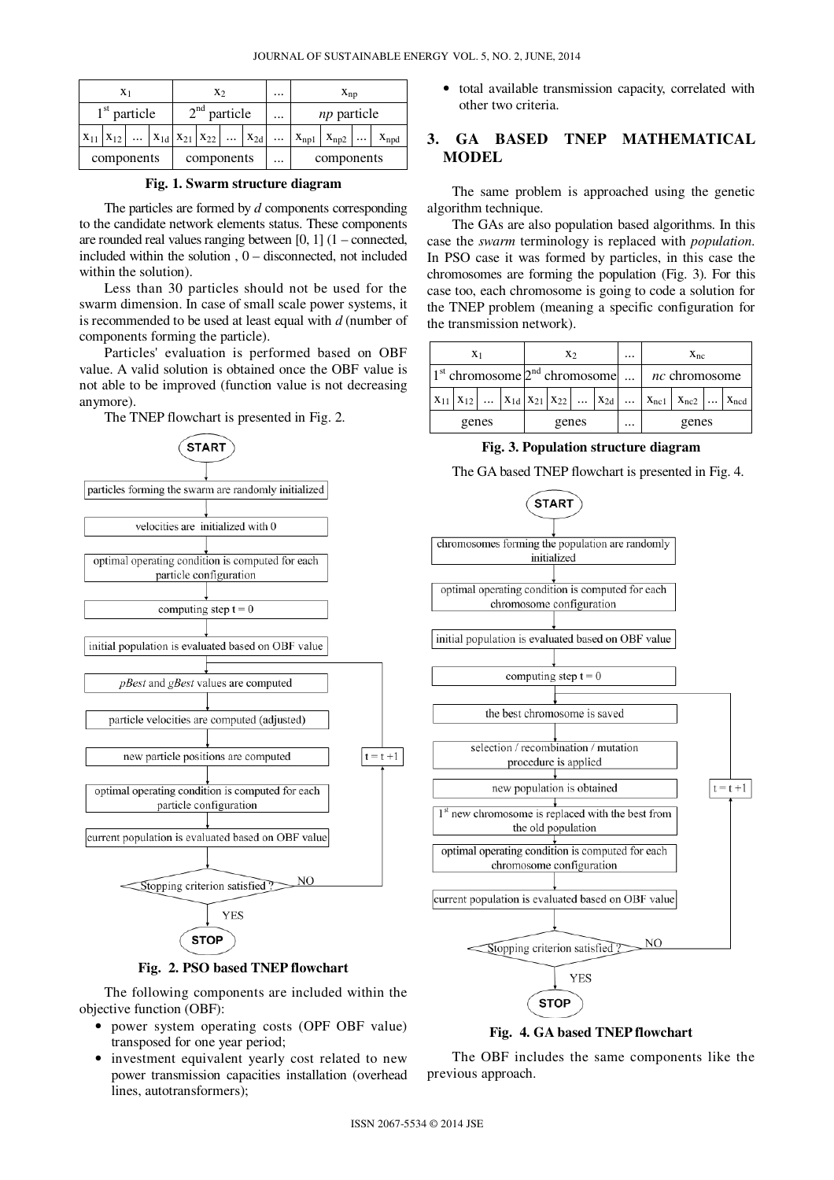| $X_1$ |                |  |  |  | X <sub>2</sub> |            |  |                                                                |  | $X_{np}$           |                               |  |  |
|-------|----------------|--|--|--|----------------|------------|--|----------------------------------------------------------------|--|--------------------|-------------------------------|--|--|
|       | $1st$ particle |  |  |  | $2nd$ particle |            |  |                                                                |  | <i>np</i> particle |                               |  |  |
|       |                |  |  |  |                |            |  | $X_{11}   X_{12}      X_{1d}   X_{21}   X_{22}      X_{2d}   $ |  |                    | $X_{np1}$ $X_{np2}$ $X_{npd}$ |  |  |
|       | components     |  |  |  |                | components |  |                                                                |  | components         |                               |  |  |

**Fig. 1. Swarm structure diagram** 

The particles are formed by *d* components corresponding to the candidate network elements status. These components are rounded real values ranging between [0, 1] (1 – connected, included within the solution , 0 – disconnected, not included within the solution).

Less than 30 particles should not be used for the swarm dimension. In case of small scale power systems, it is recommended to be used at least equal with *d* (number of components forming the particle).

Particles' evaluation is performed based on OBF value. A valid solution is obtained once the OBF value is not able to be improved (function value is not decreasing anymore).

The TNEP flowchart is presented in Fig. 2.





The following components are included within the objective function (OBF):

- power system operating costs (OPF OBF value) transposed for one year period;
- investment equivalent yearly cost related to new power transmission capacities installation (overhead lines, autotransformers);

• total available transmission capacity, correlated with other two criteria.

# **3. GA BASED TNEP MATHEMATICAL MODEL**

The same problem is approached using the genetic algorithm technique.

The GAs are also population based algorithms. In this case the *swarm* terminology is replaced with *population*. In PSO case it was formed by particles, in this case the chromosomes are forming the population (Fig. 3). For this case too, each chromosome is going to code a solution for the TNEP problem (meaning a specific configuration for the transmission network).

|                                                        | $X_1$ |       |  | X <sub>2</sub> |  |  |  | $\cdots$ | $X_{nc}$ |                                                                                                   |  |  |
|--------------------------------------------------------|-------|-------|--|----------------|--|--|--|----------|----------|---------------------------------------------------------------------------------------------------|--|--|
| $1st$ chromosome $2nd$ chromosome $\mid nc$ chromosome |       |       |  |                |  |  |  |          |          |                                                                                                   |  |  |
|                                                        |       |       |  |                |  |  |  |          |          | $x_{11}   x_{12}      x_{1d}   x_{21}   x_{22}      x_{2d}      x_{nc1}   x_{nc2}      x_{ncd}  $ |  |  |
|                                                        |       | genes |  | genes          |  |  |  | $\cdots$ | genes    |                                                                                                   |  |  |

**Fig. 3. Population structure diagram** 

The GA based TNEP flowchart is presented in Fig. 4.



#### **Fig. 4. GA based TNEP flowchart**

The OBF includes the same components like the previous approach.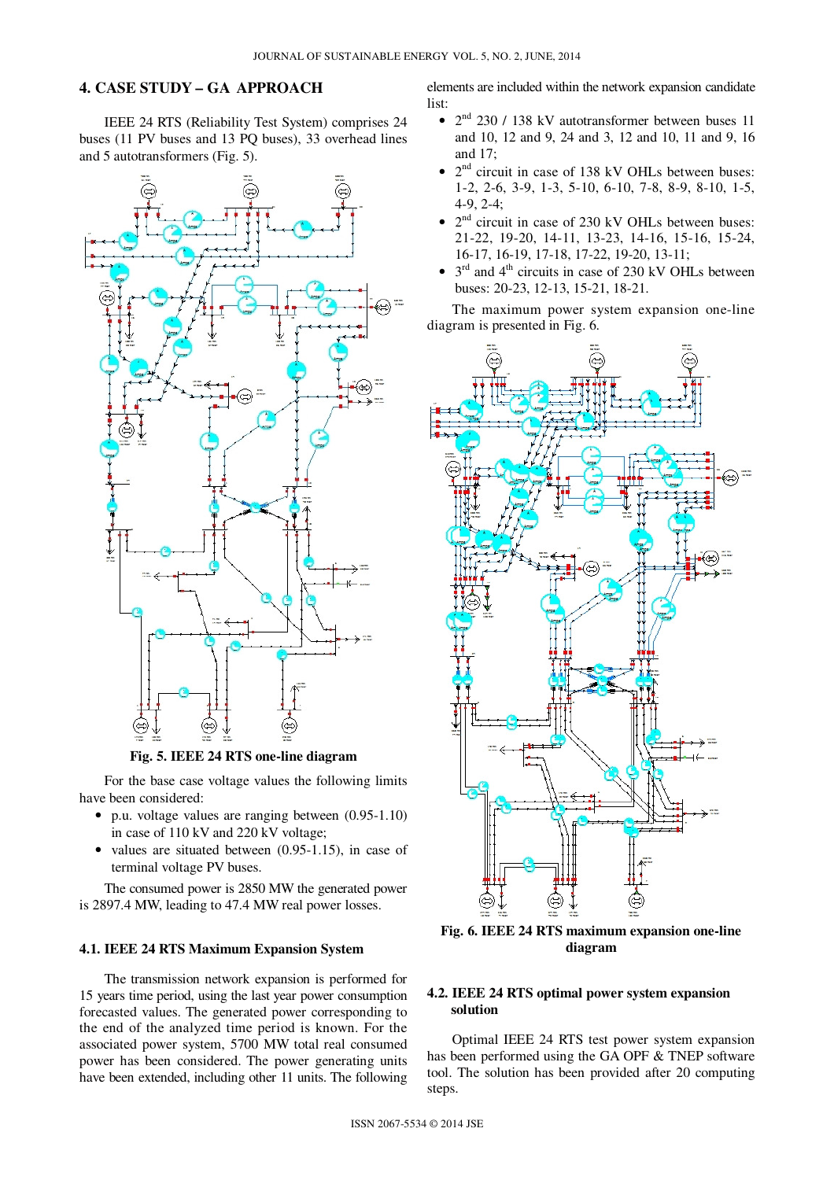## **4. CASE STUDY – GA APPROACH**

IEEE 24 RTS (Reliability Test System) comprises 24 buses (11 PV buses and 13 PQ buses), 33 overhead lines and 5 autotransformers (Fig. 5).



**Fig. 5. IEEE 24 RTS one-line diagram** 

For the base case voltage values the following limits have been considered:

- p.u. voltage values are ranging between (0.95-1.10) in case of 110 kV and 220 kV voltage;
- values are situated between (0.95-1.15), in case of terminal voltage PV buses.

The consumed power is 2850 MW the generated power is 2897.4 MW, leading to 47.4 MW real power losses.

#### **4.1. IEEE 24 RTS Maximum Expansion System**

The transmission network expansion is performed for 15 years time period, using the last year power consumption forecasted values. The generated power corresponding to the end of the analyzed time period is known. For the associated power system, 5700 MW total real consumed power has been considered. The power generating units have been extended, including other 11 units. The following

elements are included within the network expansion candidate list:

- $2<sup>nd</sup>$  230 / 138 kV autotransformer between buses 11 and 10, 12 and 9, 24 and 3, 12 and 10, 11 and 9, 16 and 17;
- $2<sup>nd</sup>$  circuit in case of 138 kV OHLs between buses: 1-2, 2-6, 3-9, 1-3, 5-10, 6-10, 7-8, 8-9, 8-10, 1-5, 4-9, 2-4;
- $2<sup>nd</sup>$  circuit in case of 230 kV OHLs between buses: 21-22, 19-20, 14-11, 13-23, 14-16, 15-16, 15-24, 16-17, 16-19, 17-18, 17-22, 19-20, 13-11;
- $3<sup>rd</sup>$  and  $4<sup>th</sup>$  circuits in case of 230 kV OHLs between buses: 20-23, 12-13, 15-21, 18-21.

The maximum power system expansion one-line diagram is presented in Fig. 6.



**Fig. 6. IEEE 24 RTS maximum expansion one-line diagram** 

## **4.2. IEEE 24 RTS optimal power system expansion solution**

Optimal IEEE 24 RTS test power system expansion has been performed using the GA OPF & TNEP software tool. The solution has been provided after 20 computing steps.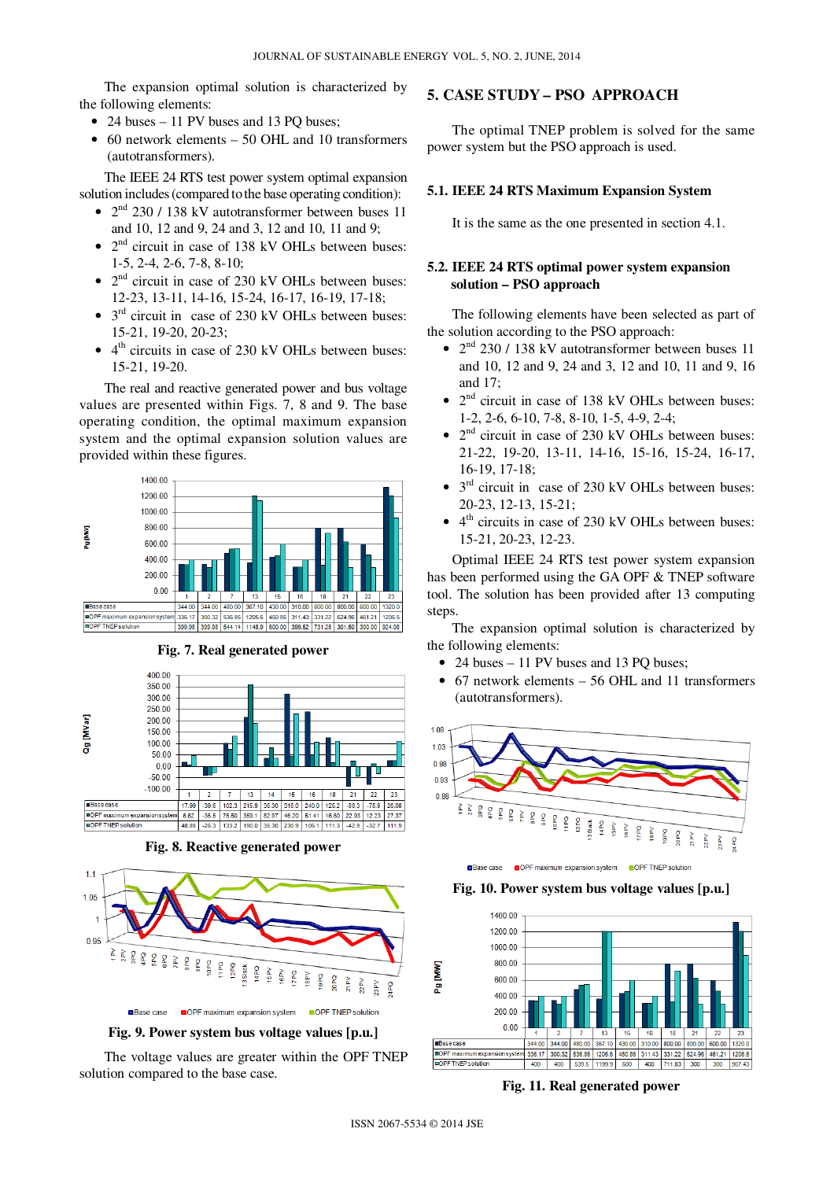The expansion optimal solution is characterized by the following elements:

- 24 buses 11 PV buses and 13 PO buses:
- 60 network elements 50 OHL and 10 transformers (autotransformers).

The IEEE 24 RTS test power system optimal expansion solution includes(compared tothe base operating condition):

- 2<sup>nd</sup> 230 / 138 kV autotransformer between buses 11 and 10, 12 and 9, 24 and 3, 12 and 10, 11 and 9;
- $2<sup>nd</sup>$  circuit in case of 138 kV OHLs between buses: 1-5, 2-4, 2-6, 7-8, 8-10;
- $2<sup>nd</sup>$  circuit in case of 230 kV OHLs between buses: 12-23, 13-11, 14-16, 15-24, 16-17, 16-19, 17-18;
- $3<sup>rd</sup>$  circuit in case of 230 kV OHLs between buses: 15-21, 19-20, 20-23;
- 4<sup>th</sup> circuits in case of 230 kV OHLs between buses: 15-21, 19-20.

The real and reactive generated power and bus voltage values are presented within Figs. 7, 8 and 9. The base operating condition, the optimal maximum expansion system and the optimal expansion solution values are provided within these figures.





**Fig. 7. Real generated power** 

**Fig. 8. Reactive generated power** 



The voltage values are greater within the OPF TNEP solution compared to the base case.

## **5. CASE STUDY – PSO APPROACH**

The optimal TNEP problem is solved for the same power system but the PSO approach is used.

#### **5.1. IEEE 24 RTS Maximum Expansion System**

It is the same as the one presented in section 4.1.

## **5.2. IEEE 24 RTS optimal power system expansion solution – PSO approach**

The following elements have been selected as part of the solution according to the PSO approach:

- 2<sup>nd</sup> 230 / 138 kV autotransformer between buses 11 and 10, 12 and 9, 24 and 3, 12 and 10, 11 and 9, 16 and 17;
- $2<sup>nd</sup>$  circuit in case of 138 kV OHLs between buses: 1-2, 2-6, 6-10, 7-8, 8-10, 1-5, 4-9, 2-4;
- $2<sup>nd</sup>$  circuit in case of 230 kV OHLs between buses: 21-22, 19-20, 13-11, 14-16, 15-16, 15-24, 16-17, 16-19, 17-18;
- $3<sup>rd</sup>$  circuit in case of 230 kV OHLs between buses: 20-23, 12-13, 15-21;
- 4<sup>th</sup> circuits in case of 230 kV OHLs between buses: 15-21, 20-23, 12-23.

Optimal IEEE 24 RTS test power system expansion has been performed using the GA OPF & TNEP software tool. The solution has been provided after 13 computing steps.

The expansion optimal solution is characterized by the following elements:

- 24 buses 11 PV buses and 13 PQ buses;
- 67 network elements 56 OHL and 11 transformers (autotransformers).



OPF maximum expansion system OPE TNEP solution **OBase case** 

**Fig. 10. Power system bus voltage values [p.u.]** 



**Fig. 11. Real generated power**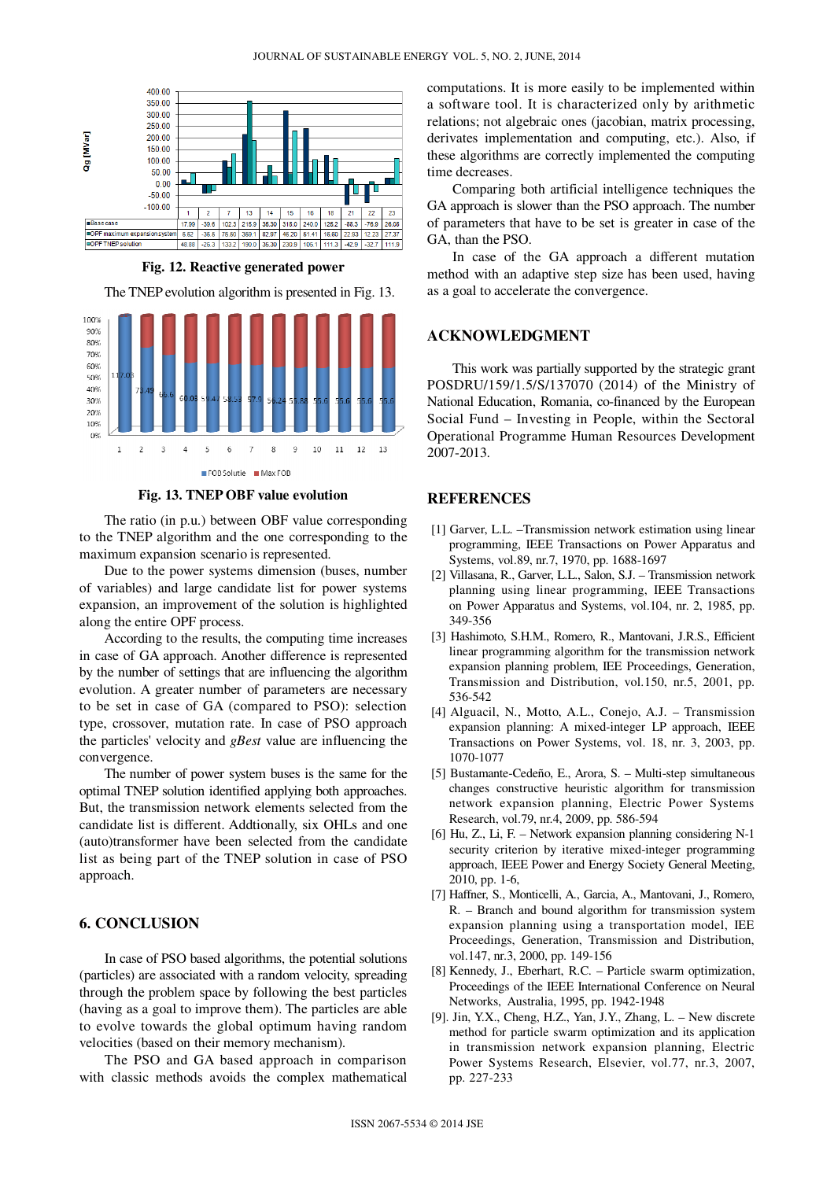

**Fig. 12. Reactive generated power** 

The TNEP evolution algorithm is presented in Fig. 13.



**Fig. 13. TNEP OBF value evolution** 

The ratio (in p.u.) between OBF value corresponding to the TNEP algorithm and the one corresponding to the maximum expansion scenario is represented.

Due to the power systems dimension (buses, number of variables) and large candidate list for power systems expansion, an improvement of the solution is highlighted along the entire OPF process.

According to the results, the computing time increases in case of GA approach. Another difference is represented by the number of settings that are influencing the algorithm evolution. A greater number of parameters are necessary to be set in case of GA (compared to PSO): selection type, crossover, mutation rate. In case of PSO approach the particles' velocity and *gBest* value are influencing the convergence.

The number of power system buses is the same for the optimal TNEP solution identified applying both approaches. But, the transmission network elements selected from the candidate list is different. Addtionally, six OHLs and one (auto)transformer have been selected from the candidate list as being part of the TNEP solution in case of PSO approach.

### **6. CONCLUSION**

In case of PSO based algorithms, the potential solutions (particles) are associated with a random velocity, spreading through the problem space by following the best particles (having as a goal to improve them). The particles are able to evolve towards the global optimum having random velocities (based on their memory mechanism).

The PSO and GA based approach in comparison with classic methods avoids the complex mathematical computations. It is more easily to be implemented within a software tool. It is characterized only by arithmetic relations; not algebraic ones (jacobian, matrix processing, derivates implementation and computing, etc.). Also, if these algorithms are correctly implemented the computing time decreases.

Comparing both artificial intelligence techniques the GA approach is slower than the PSO approach. The number of parameters that have to be set is greater in case of the GA, than the PSO.

In case of the GA approach a different mutation method with an adaptive step size has been used, having as a goal to accelerate the convergence.

#### **ACKNOWLEDGMENT**

This work was partially supported by the strategic grant POSDRU/159/1.5/S/137070 (2014) of the Ministry of National Education, Romania, co-financed by the European Social Fund – Investing in People, within the Sectoral Operational Programme Human Resources Development 2007-2013.

### **REFERENCES**

- [1] Garver, L.L. –Transmission network estimation using linear programming, IEEE Transactions on Power Apparatus and Systems, vol.89, nr.7, 1970, pp. 1688-1697
- [2] Villasana, R., Garver, L.L., Salon, S.J. Transmission network planning using linear programming, IEEE Transactions on Power Apparatus and Systems, vol.104, nr. 2, 1985, pp. 349-356
- [3] Hashimoto, S.H.M., Romero, R., Mantovani, J.R.S., Efficient linear programming algorithm for the transmission network expansion planning problem, IEE Proceedings, Generation, Transmission and Distribution, vol.150, nr.5, 2001, pp. 536-542
- [4] Alguacil, N., Motto, A.L., Conejo, A.J. Transmission expansion planning: A mixed-integer LP approach, IEEE Transactions on Power Systems, vol. 18, nr. 3, 2003, pp. 1070-1077
- [5] Bustamante-Cedeño, E., Arora, S. Multi-step simultaneous changes constructive heuristic algorithm for transmission network expansion planning, Electric Power Systems Research, vol.79, nr.4, 2009, pp. 586-594
- [6] Hu, Z., Li, F. Network expansion planning considering N-1 security criterion by iterative mixed-integer programming approach, IEEE Power and Energy Society General Meeting, 2010, pp. 1-6,
- [7] Haffner, S., Monticelli, A., Garcia, A., Mantovani, J., Romero, R. – Branch and bound algorithm for transmission system expansion planning using a transportation model, IEE Proceedings, Generation, Transmission and Distribution, vol.147, nr.3, 2000, pp. 149-156
- [8] Kennedy, J., Eberhart, R.C. Particle swarm optimization, Proceedings of the IEEE International Conference on Neural Networks, Australia, 1995, pp. 1942-1948
- [9]. Jin, Y.X., Cheng, H.Z., Yan, J.Y., Zhang, L. New discrete method for particle swarm optimization and its application in transmission network expansion planning, Electric Power Systems Research, Elsevier, vol.77, nr.3, 2007, pp. 227-233